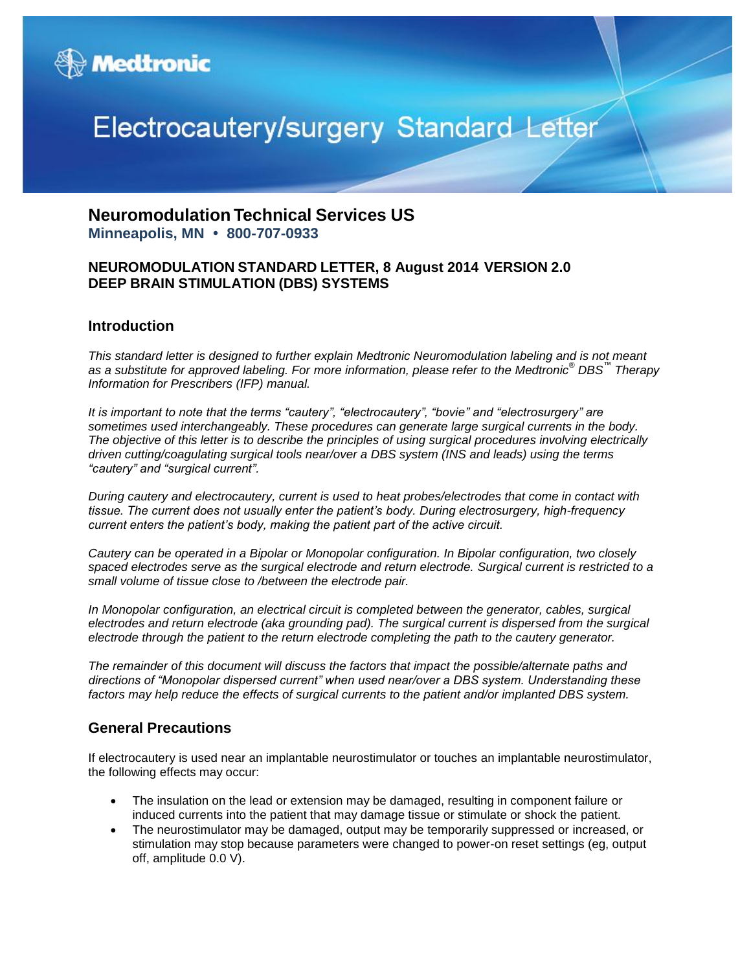

# Electrocautery/surgery Standard Letter

## **Neuromodulation Technical Services US Minneapolis, MN • 800-707-0933**

#### **NEUROMODULATION STANDARD LETTER, 8 August 2014 VERSION 2.0 DEEP BRAIN STIMULATION (DBS) SYSTEMS**

#### **Introduction**

*This standard letter is designed to further explain Medtronic Neuromodulation labeling and is not meant as a substitute for approved labeling. For more information, please refer to the Medtronic® DBS™ Therapy Information for Prescribers (IFP) manual.*

*It is important to note that the terms "cautery", "electrocautery", "bovie" and "electrosurgery" are sometimes used interchangeably. These procedures can generate large surgical currents in the body. The objective of this letter is to describe the principles of using surgical procedures involving electrically driven cutting/coagulating surgical tools near/over a DBS system (INS and leads) using the terms "cautery" and "surgical current".* 

*During cautery and electrocautery, current is used to heat probes/electrodes that come in contact with tissue. The current does not usually enter the patient's body. During electrosurgery, high-frequency current enters the patient's body, making the patient part of the active circuit.* 

*Cautery can be operated in a Bipolar or Monopolar configuration. In Bipolar configuration, two closely spaced electrodes serve as the surgical electrode and return electrode. Surgical current is restricted to a small volume of tissue close to /between the electrode pair.*

*In Monopolar configuration, an electrical circuit is completed between the generator, cables, surgical electrodes and return electrode (aka grounding pad). The surgical current is dispersed from the surgical electrode through the patient to the return electrode completing the path to the cautery generator.*

*The remainder of this document will discuss the factors that impact the possible/alternate paths and directions of "Monopolar dispersed current" when used near/over a DBS system. Understanding these factors may help reduce the effects of surgical currents to the patient and/or implanted DBS system.*

#### **General Precautions**

If electrocautery is used near an implantable neurostimulator or touches an implantable neurostimulator, the following effects may occur:

- The insulation on the lead or extension may be damaged, resulting in component failure or induced currents into the patient that may damage tissue or stimulate or shock the patient.
- The neurostimulator may be damaged, output may be temporarily suppressed or increased, or stimulation may stop because parameters were changed to power-on reset settings (eg, output off, amplitude 0.0 V).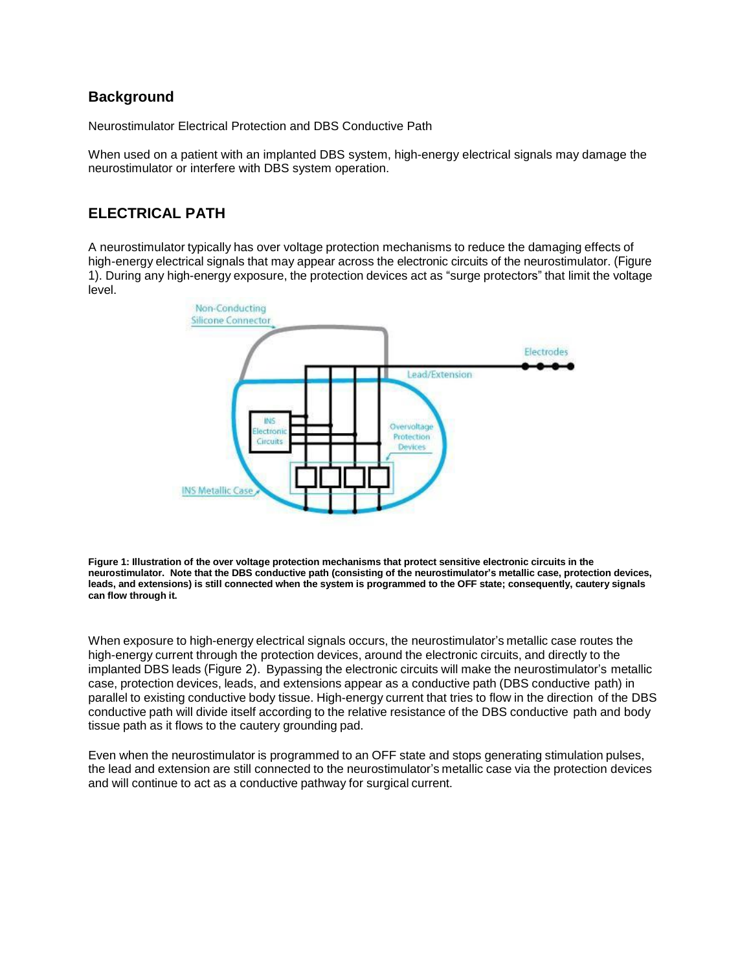#### **Background**

Neurostimulator Electrical Protection and DBS Conductive Path

When used on a patient with an implanted DBS system, high-energy electrical signals may damage the neurostimulator or interfere with DBS system operation.

## **ELECTRICAL PATH**

A neurostimulator typically has over voltage protection mechanisms to reduce the damaging effects of high-energy electrical signals that may appear across the electronic circuits of the neurostimulator. (Figure 1). During any high-energy exposure, the protection devices act as "surge protectors" that limit the voltage level.



**Figure 1: Illustration of the over voltage protection mechanisms that protect sensitive electronic circuits in the neurostimulator. Note that the DBS conductive path (consisting of the neurostimulator's metallic case, protection devices, leads, and extensions) is still connected when the system is programmed to the OFF state; consequently, cautery signals can flow through it.**

When exposure to high-energy electrical signals occurs, the neurostimulator's metallic case routes the high-energy current through the protection devices, around the electronic circuits, and directly to the implanted DBS leads (Figure 2). Bypassing the electronic circuits will make the neurostimulator's metallic case, protection devices, leads, and extensions appear as a conductive path (DBS conductive path) in parallel to existing conductive body tissue. High-energy current that tries to flow in the direction of the DBS conductive path will divide itself according to the relative resistance of the DBS conductive path and body tissue path as it flows to the cautery grounding pad.

Even when the neurostimulator is programmed to an OFF state and stops generating stimulation pulses, the lead and extension are still connected to the neurostimulator's metallic case via the protection devices and will continue to act as a conductive pathway for surgical current.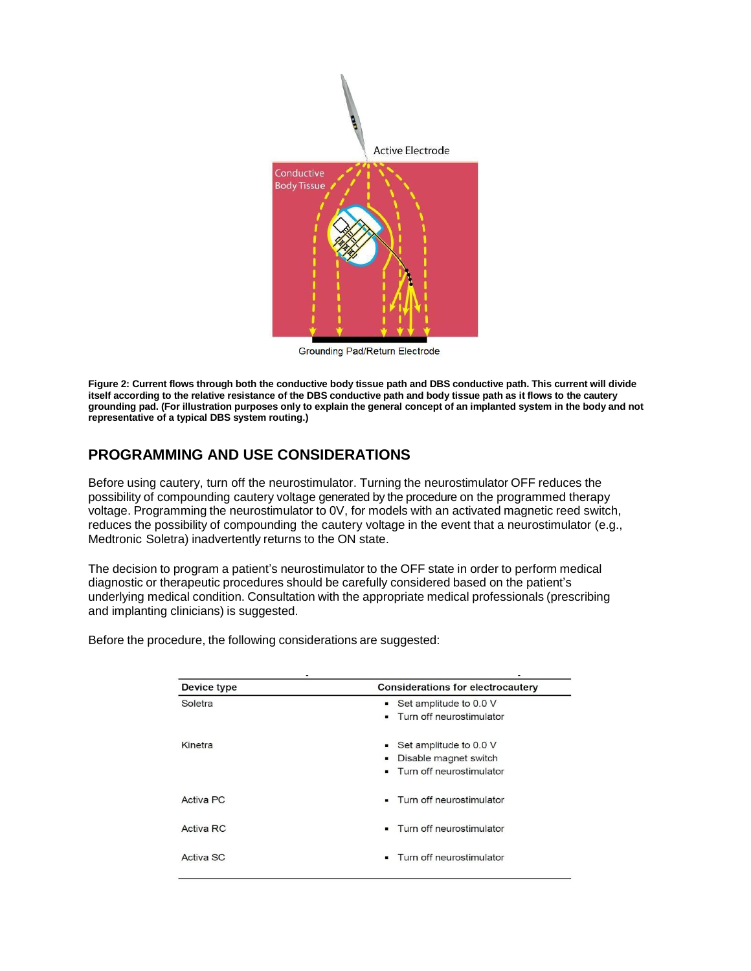

**Grounding Pad/Return Electrode** 

**Figure 2: Current flows through both the conductive body tissue path and DBS conductive path. This current will divide** itself according to the relative resistance of the DBS conductive path and body tissue path as it flows to the cautery grounding pad. (For illustration purposes only to explain the general concept of an implanted system in the body and not **representative of a typical DBS system routing.)**

## **PROGRAMMING AND USE CONSIDERATIONS**

Before using cautery, turn off the neurostimulator. Turning the neurostimulator OFF reduces the possibility of compounding cautery voltage generated by the procedure on the programmed therapy voltage. Programming the neurostimulator to 0V, for models with an activated magnetic reed switch, reduces the possibility of compounding the cautery voltage in the event that a neurostimulator (e.g., Medtronic Soletra) inadvertently returns to the ON state.

The decision to program a patient's neurostimulator to the OFF state in order to perform medical diagnostic or therapeutic procedures should be carefully considered based on the patient's underlying medical condition. Consultation with the appropriate medical professionals (prescribing and implanting clinicians) is suggested.

| Device type | <b>Considerations for electrocautery</b>                                                                |
|-------------|---------------------------------------------------------------------------------------------------------|
| Soletra     | $\bullet$ Set amplitude to 0.0 V<br>Turn off neurostimulator<br>$\blacksquare$                          |
| Kinetra     | Set amplitude to 0.0 V<br>٠<br>Disable magnet switch<br>٠<br>Turn off neurostimulator<br>$\blacksquare$ |
| Activa PC   | Turn off neurostimulator<br>٠                                                                           |
| Activa RC   | Turn off neurostimulator                                                                                |
| Activa SC   | Turn off neurostimulator                                                                                |

Before the procedure, the following considerations are suggested: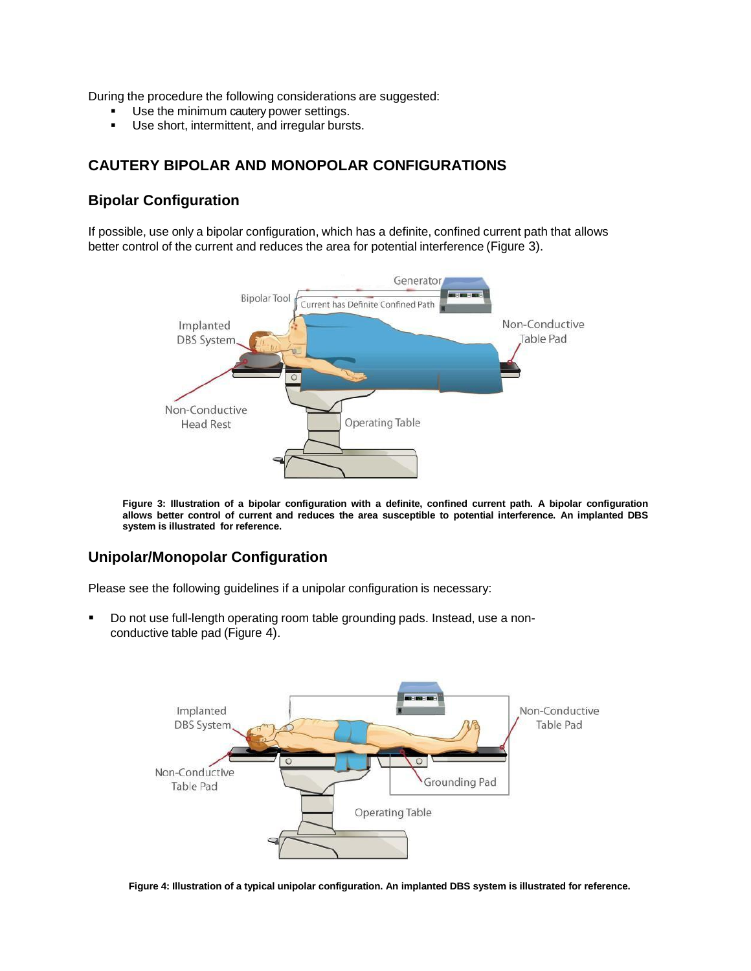During the procedure the following considerations are suggested:

- Use the minimum cautery power settings.
- Use short, intermittent, and irregular bursts.

## **CAUTERY BIPOLAR AND MONOPOLAR CONFIGURATIONS**

#### **Bipolar Configuration**

If possible, use only a bipolar configuration, which has a definite, confined current path that allows better control of the current and reduces the area for potential interference (Figure 3).



**Figure 3: Illustration of a bipolar configuration with a definite, confined current path. A bipolar configuration allows better control of current and reduces the area susceptible to potential interference. An implanted DBS system is illustrated for reference.**

## **Unipolar/Monopolar Configuration**

Please see the following guidelines if a unipolar configuration is necessary:

 Do not use full-length operating room table grounding pads. Instead, use a nonconductive table pad (Figure 4).



**Figure 4: Illustration of a typical unipolar configuration. An implanted DBS system is illustrated for reference.**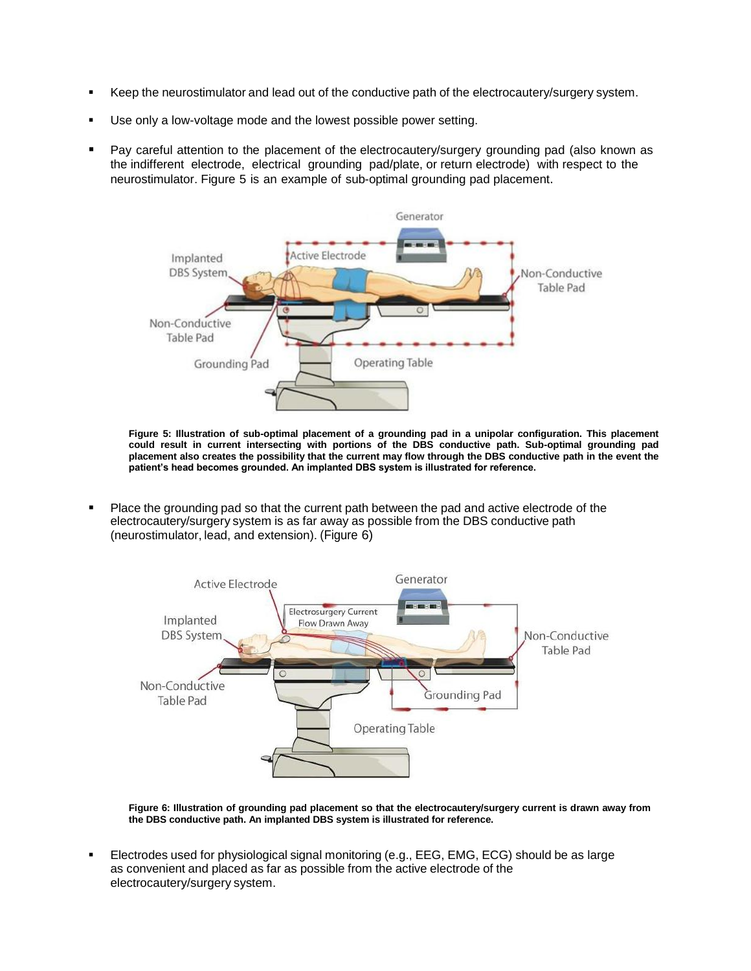- Keep the neurostimulator and lead out of the conductive path of the electrocautery/surgery system.
- Use only a low-voltage mode and the lowest possible power setting.
- Pay careful attention to the placement of the electrocautery/surgery grounding pad (also known as the indifferent electrode, electrical grounding pad/plate, or return electrode) with respect to the neurostimulator. Figure 5 is an example of sub-optimal grounding pad placement.



**Figure 5: Illustration of sub-optimal placement of a grounding pad in a unipolar configuration. This placement could result in current intersecting with portions of the DBS conductive path. Sub-optimal grounding pad placement also creates the possibility that the current may flow through the DBS conductive path in the event the patient's head becomes grounded. An implanted DBS system is illustrated for reference.**

 Place the grounding pad so that the current path between the pad and active electrode of the electrocautery/surgery system is as far away as possible from the DBS conductive path (neurostimulator, lead, and extension). (Figure 6)



**Figure 6: Illustration of grounding pad placement so that the electrocautery/surgery current is drawn away from the DBS conductive path. An implanted DBS system is illustrated for reference.**

 Electrodes used for physiological signal monitoring (e.g., EEG, EMG, ECG) should be as large as convenient and placed as far as possible from the active electrode of the electrocautery/surgery system.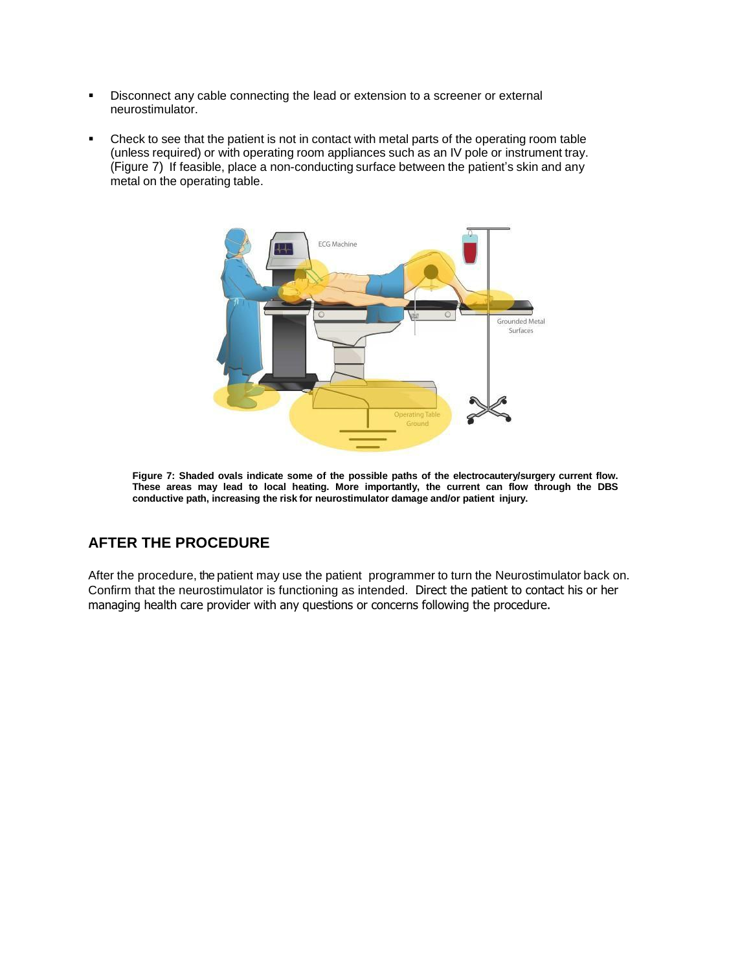- Disconnect any cable connecting the lead or extension to a screener or external neurostimulator.
- Check to see that the patient is not in contact with metal parts of the operating room table (unless required) or with operating room appliances such as an IV pole or instrument tray. (Figure 7) If feasible, place a non-conducting surface between the patient's skin and any metal on the operating table.



**Figure 7: Shaded ovals indicate some of the possible paths of the electrocautery/surgery current flow. These areas may lead to local heating. More importantly, the current can flow through the DBS conductive path, increasing the risk for neurostimulator damage and/or patient injury.**

## **AFTER THE PROCEDURE**

After the procedure, the patient may use the patient programmer to turn the Neurostimulator back on. Confirm that the neurostimulator is functioning as intended. Direct the patient to contact his or her managing health care provider with any questions or concerns following the procedure.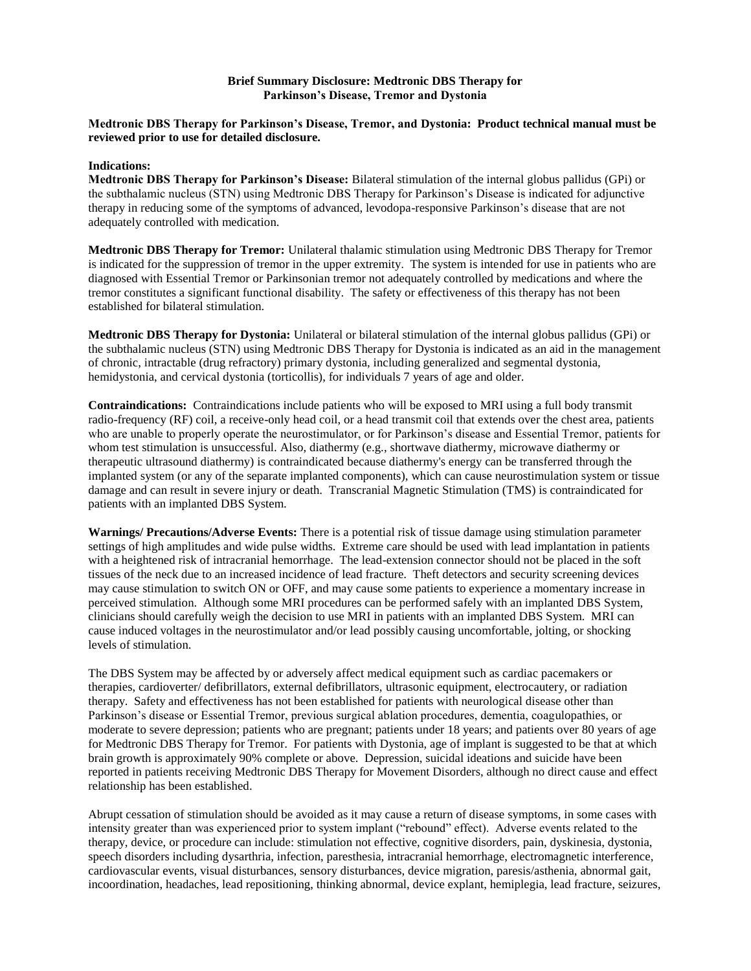#### **Brief Summary Disclosure: Medtronic DBS Therapy for Parkinson's Disease, Tremor and Dystonia**

#### **Medtronic DBS Therapy for Parkinson's Disease, Tremor, and Dystonia: Product technical manual must be reviewed prior to use for detailed disclosure.**

#### **Indications:**

**Medtronic DBS Therapy for Parkinson's Disease:** Bilateral stimulation of the internal globus pallidus (GPi) or the subthalamic nucleus (STN) using Medtronic DBS Therapy for Parkinson's Disease is indicated for adjunctive therapy in reducing some of the symptoms of advanced, levodopa-responsive Parkinson's disease that are not adequately controlled with medication.

**Medtronic DBS Therapy for Tremor:** Unilateral thalamic stimulation using Medtronic DBS Therapy for Tremor is indicated for the suppression of tremor in the upper extremity. The system is intended for use in patients who are diagnosed with Essential Tremor or Parkinsonian tremor not adequately controlled by medications and where the tremor constitutes a significant functional disability. The safety or effectiveness of this therapy has not been established for bilateral stimulation.

**Medtronic DBS Therapy for Dystonia:** Unilateral or bilateral stimulation of the internal globus pallidus (GPi) or the subthalamic nucleus (STN) using Medtronic DBS Therapy for Dystonia is indicated as an aid in the management of chronic, intractable (drug refractory) primary dystonia, including generalized and segmental dystonia, hemidystonia, and cervical dystonia (torticollis), for individuals 7 years of age and older.

**Contraindications:** Contraindications include patients who will be exposed to MRI using a full body transmit radio-frequency (RF) coil, a receive-only head coil, or a head transmit coil that extends over the chest area, patients who are unable to properly operate the neurostimulator, or for Parkinson's disease and Essential Tremor, patients for whom test stimulation is unsuccessful. Also, diathermy (e.g., shortwave diathermy, microwave diathermy or therapeutic ultrasound diathermy) is contraindicated because diathermy's energy can be transferred through the implanted system (or any of the separate implanted components), which can cause neurostimulation system or tissue damage and can result in severe injury or death. Transcranial Magnetic Stimulation (TMS) is contraindicated for patients with an implanted DBS System.

**Warnings/ Precautions/Adverse Events:** There is a potential risk of tissue damage using stimulation parameter settings of high amplitudes and wide pulse widths. Extreme care should be used with lead implantation in patients with a heightened risk of intracranial hemorrhage. The lead-extension connector should not be placed in the soft tissues of the neck due to an increased incidence of lead fracture. Theft detectors and security screening devices may cause stimulation to switch ON or OFF, and may cause some patients to experience a momentary increase in perceived stimulation. Although some MRI procedures can be performed safely with an implanted DBS System, clinicians should carefully weigh the decision to use MRI in patients with an implanted DBS System. MRI can cause induced voltages in the neurostimulator and/or lead possibly causing uncomfortable, jolting, or shocking levels of stimulation.

The DBS System may be affected by or adversely affect medical equipment such as cardiac pacemakers or therapies, cardioverter/ defibrillators, external defibrillators, ultrasonic equipment, electrocautery, or radiation therapy. Safety and effectiveness has not been established for patients with neurological disease other than Parkinson's disease or Essential Tremor, previous surgical ablation procedures, dementia, coagulopathies, or moderate to severe depression; patients who are pregnant; patients under 18 years; and patients over 80 years of age for Medtronic DBS Therapy for Tremor. For patients with Dystonia, age of implant is suggested to be that at which brain growth is approximately 90% complete or above. Depression, suicidal ideations and suicide have been reported in patients receiving Medtronic DBS Therapy for Movement Disorders, although no direct cause and effect relationship has been established.

Abrupt cessation of stimulation should be avoided as it may cause a return of disease symptoms, in some cases with intensity greater than was experienced prior to system implant ("rebound" effect). Adverse events related to the therapy, device, or procedure can include: stimulation not effective, cognitive disorders, pain, dyskinesia, dystonia, speech disorders including dysarthria, infection, paresthesia, intracranial hemorrhage, electromagnetic interference, cardiovascular events, visual disturbances, sensory disturbances, device migration, paresis/asthenia, abnormal gait, incoordination, headaches, lead repositioning, thinking abnormal, device explant, hemiplegia, lead fracture, seizures,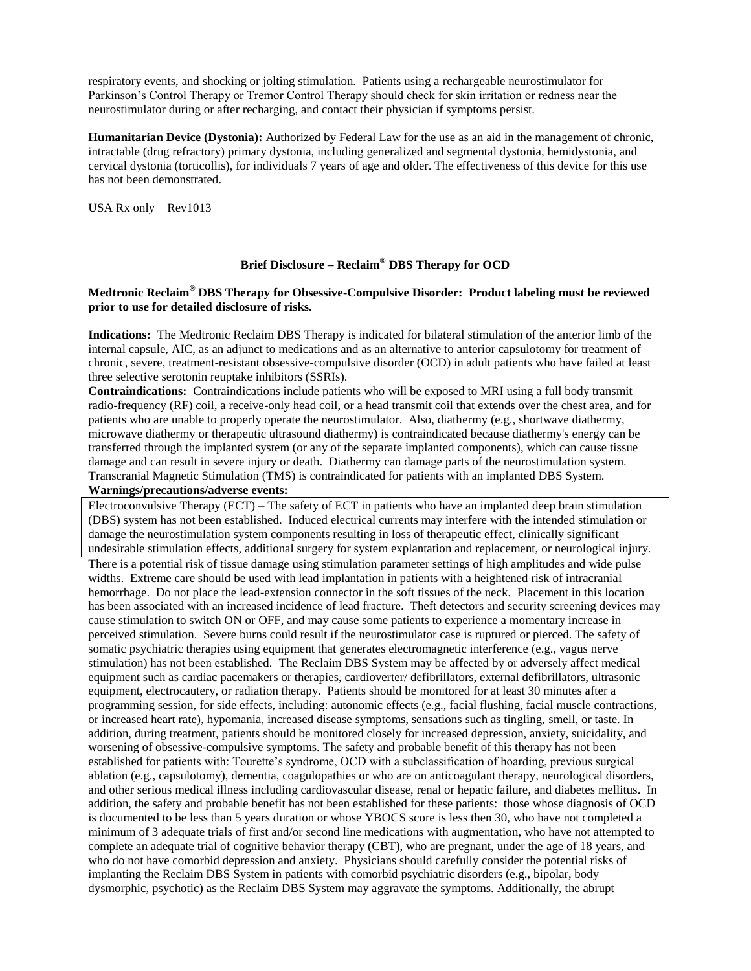respiratory events, and shocking or jolting stimulation. Patients using a rechargeable neurostimulator for Parkinson's Control Therapy or Tremor Control Therapy should check for skin irritation or redness near the neurostimulator during or after recharging, and contact their physician if symptoms persist.

**Humanitarian Device (Dystonia):** Authorized by Federal Law for the use as an aid in the management of chronic, intractable (drug refractory) primary dystonia, including generalized and segmental dystonia, hemidystonia, and cervical dystonia (torticollis), for individuals 7 years of age and older. The effectiveness of this device for this use has not been demonstrated.

USA Rx only Rev1013

#### **Brief Disclosure – Reclaim® DBS Therapy for OCD**

#### **Medtronic Reclaim® DBS Therapy for Obsessive-Compulsive Disorder: Product labeling must be reviewed prior to use for detailed disclosure of risks.**

**Indications:** The Medtronic Reclaim DBS Therapy is indicated for bilateral stimulation of the anterior limb of the internal capsule, AIC, as an adjunct to medications and as an alternative to anterior capsulotomy for treatment of chronic, severe, treatment-resistant obsessive-compulsive disorder (OCD) in adult patients who have failed at least three selective serotonin reuptake inhibitors (SSRIs).

**Contraindications:** Contraindications include patients who will be exposed to MRI using a full body transmit radio-frequency (RF) coil, a receive-only head coil, or a head transmit coil that extends over the chest area, and for patients who are unable to properly operate the neurostimulator. Also, diathermy (e.g., shortwave diathermy, microwave diathermy or therapeutic ultrasound diathermy) is contraindicated because diathermy's energy can be transferred through the implanted system (or any of the separate implanted components), which can cause tissue damage and can result in severe injury or death. Diathermy can damage parts of the neurostimulation system. Transcranial Magnetic Stimulation (TMS) is contraindicated for patients with an implanted DBS System.

#### **Warnings/precautions/adverse events:**

Electroconvulsive Therapy (ECT) – The safety of ECT in patients who have an implanted deep brain stimulation (DBS) system has not been established. Induced electrical currents may interfere with the intended stimulation or damage the neurostimulation system components resulting in loss of therapeutic effect, clinically significant undesirable stimulation effects, additional surgery for system explantation and replacement, or neurological injury.

There is a potential risk of tissue damage using stimulation parameter settings of high amplitudes and wide pulse widths. Extreme care should be used with lead implantation in patients with a heightened risk of intracranial hemorrhage. Do not place the lead-extension connector in the soft tissues of the neck. Placement in this location has been associated with an increased incidence of lead fracture. Theft detectors and security screening devices may cause stimulation to switch ON or OFF, and may cause some patients to experience a momentary increase in perceived stimulation. Severe burns could result if the neurostimulator case is ruptured or pierced. The safety of somatic psychiatric therapies using equipment that generates electromagnetic interference (e.g., vagus nerve stimulation) has not been established. The Reclaim DBS System may be affected by or adversely affect medical equipment such as cardiac pacemakers or therapies, cardioverter/ defibrillators, external defibrillators, ultrasonic equipment, electrocautery, or radiation therapy. Patients should be monitored for at least 30 minutes after a programming session, for side effects, including: autonomic effects (e.g., facial flushing, facial muscle contractions, or increased heart rate), hypomania, increased disease symptoms, sensations such as tingling, smell, or taste. In addition, during treatment, patients should be monitored closely for increased depression, anxiety, suicidality, and worsening of obsessive-compulsive symptoms. The safety and probable benefit of this therapy has not been established for patients with: Tourette's syndrome, OCD with a subclassification of hoarding, previous surgical ablation (e.g., capsulotomy), dementia, coagulopathies or who are on anticoagulant therapy, neurological disorders, and other serious medical illness including cardiovascular disease, renal or hepatic failure, and diabetes mellitus. In addition, the safety and probable benefit has not been established for these patients: those whose diagnosis of OCD is documented to be less than 5 years duration or whose YBOCS score is less then 30, who have not completed a minimum of 3 adequate trials of first and/or second line medications with augmentation, who have not attempted to complete an adequate trial of cognitive behavior therapy (CBT), who are pregnant, under the age of 18 years, and who do not have comorbid depression and anxiety. Physicians should carefully consider the potential risks of implanting the Reclaim DBS System in patients with comorbid psychiatric disorders (e.g., bipolar, body dysmorphic, psychotic) as the Reclaim DBS System may aggravate the symptoms. Additionally, the abrupt